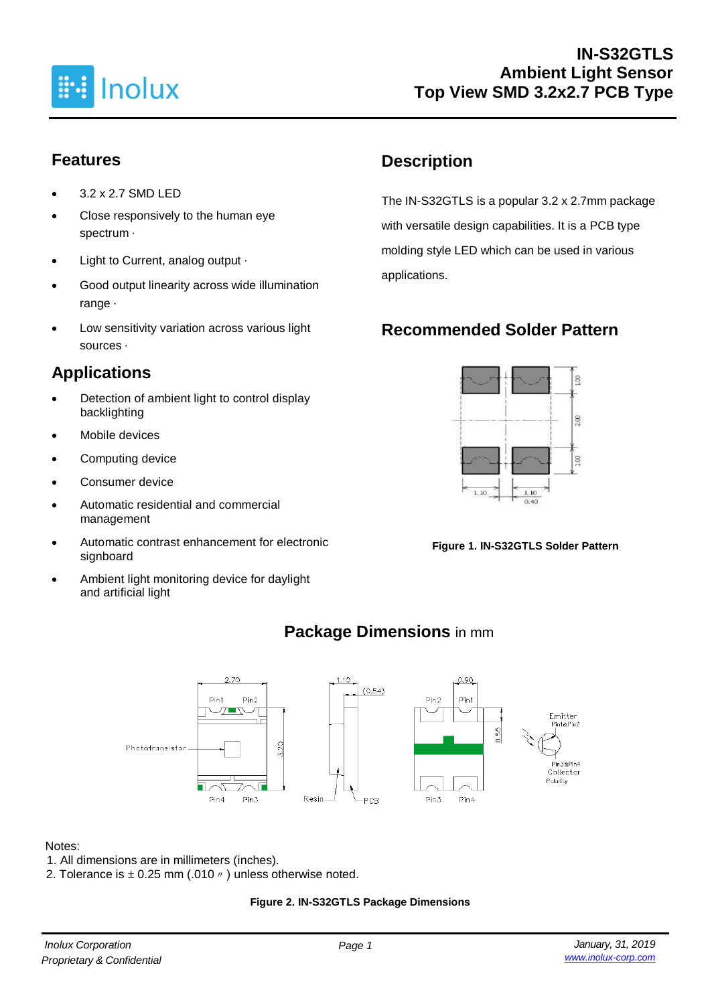

## **Features**

- 3.2 x 2.7 SMD LED
- Close responsively to the human eye spectrum ·
- Light to Current, analog output ‧
- Good output linearity across wide illumination range ‧
- Low sensitivity variation across various light sources ‧

# **Applications**

- Detection of ambient light to control display backlighting
- Mobile devices
- Computing device
- Consumer device
- Automatic residential and commercial management
- Automatic contrast enhancement for electronic signboard
- Ambient light monitoring device for daylight and artificial light

## **Description**

The IN-S32GTLS is a popular 3.2 x 2.7mm package with versatile design capabilities. It is a PCB type molding style LED which can be used in various applications.

## **Recommended Solder Pattern**



**Figure 1. IN-S32GTLS Solder Pattern**



# **Package Dimensions** in mm

#### Notes:

- 1. All dimensions are in millimeters (inches).
- 2. Tolerance is  $\pm$  0.25 mm (.010  $\prime\prime$  ) unless otherwise noted.

#### **Figure 2. IN-S32GTLS Package Dimensions**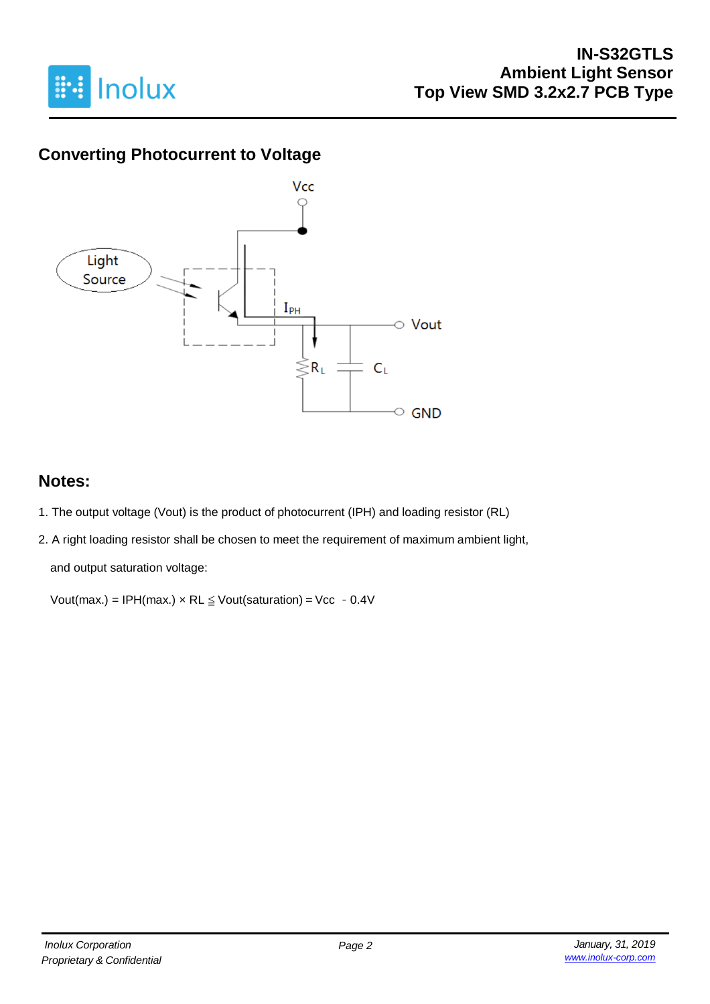

#### **IN-S32GTLS Ambient Light Sensor Top View SMD 3.2x2.7 PCB Type**

## **Converting Photocurrent to Voltage**



#### **Notes:**

- 1. The output voltage (Vout) is the product of photocurrent (IPH) and loading resistor (RL)
- 2. A right loading resistor shall be chosen to meet the requirement of maximum ambient light,

and output saturation voltage:

Vout(max.) = IPH(max.)  $\times$  RL  $\leq$  Vout(saturation) = Vcc - 0.4V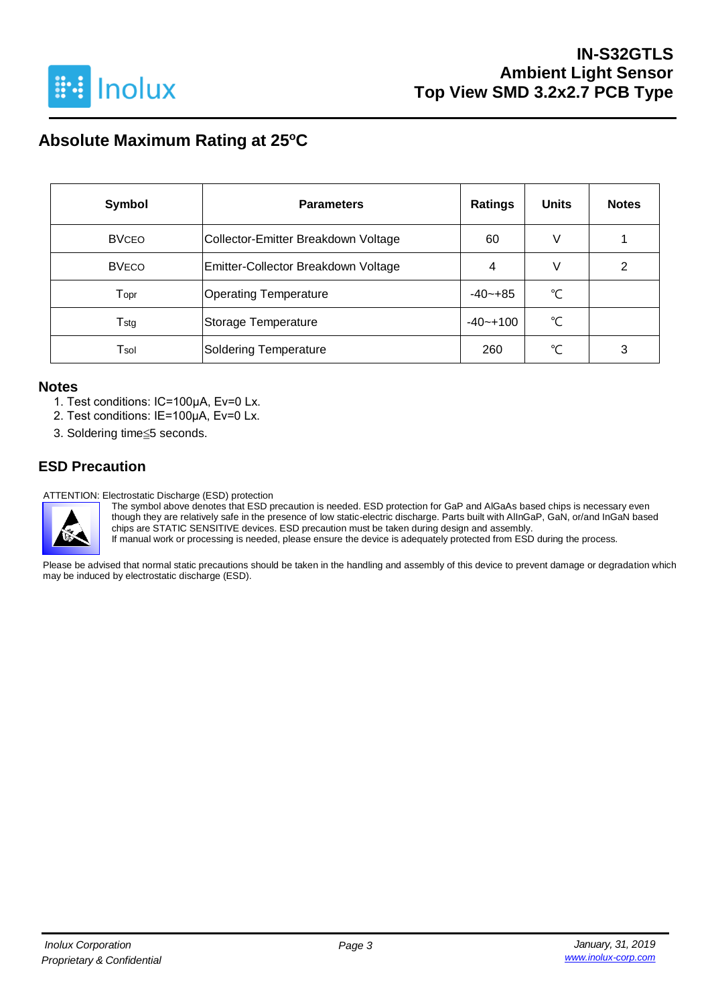

# **Absolute Maximum Rating at 25<sup>o</sup>C**

| Symbol       | <b>Parameters</b>                   | <b>Ratings</b> | <b>Units</b> | <b>Notes</b> |
|--------------|-------------------------------------|----------------|--------------|--------------|
| <b>BVCEO</b> | Collector-Emitter Breakdown Voltage | 60             | V            |              |
| <b>BVECO</b> | Emitter-Collector Breakdown Voltage | 4              | V            | ົ            |
| Topr         | <b>Operating Temperature</b>        | $-40-+85$      | °C           |              |
| Tstg         | Storage Temperature                 | $-40 - +100$   | °C           |              |
| Tsol         | <b>Soldering Temperature</b>        | 260            | ℃            | 3            |

#### **Notes**

- 1. Test conditions: IC=100μA, Ev=0 Lx.
- 2. Test conditions: IE=100μA, Ev=0 Lx.
- 3. Soldering time≦5 seconds.

#### **ESD Precaution**

ATTENTION: Electrostatic Discharge (ESD) protection



The symbol above denotes that ESD precaution is needed. ESD protection for GaP and AlGaAs based chips is necessary even though they are relatively safe in the presence of low static-electric discharge. Parts built with AlInGaP, GaN, or/and InGaN based chips are STATIC SENSITIVE devices. ESD precaution must be taken during design and assembly.

If manual work or processing is needed, please ensure the device is adequately protected from ESD during the process.

Please be advised that normal static precautions should be taken in the handling and assembly of this device to prevent damage or degradation which may be induced by electrostatic discharge (ESD).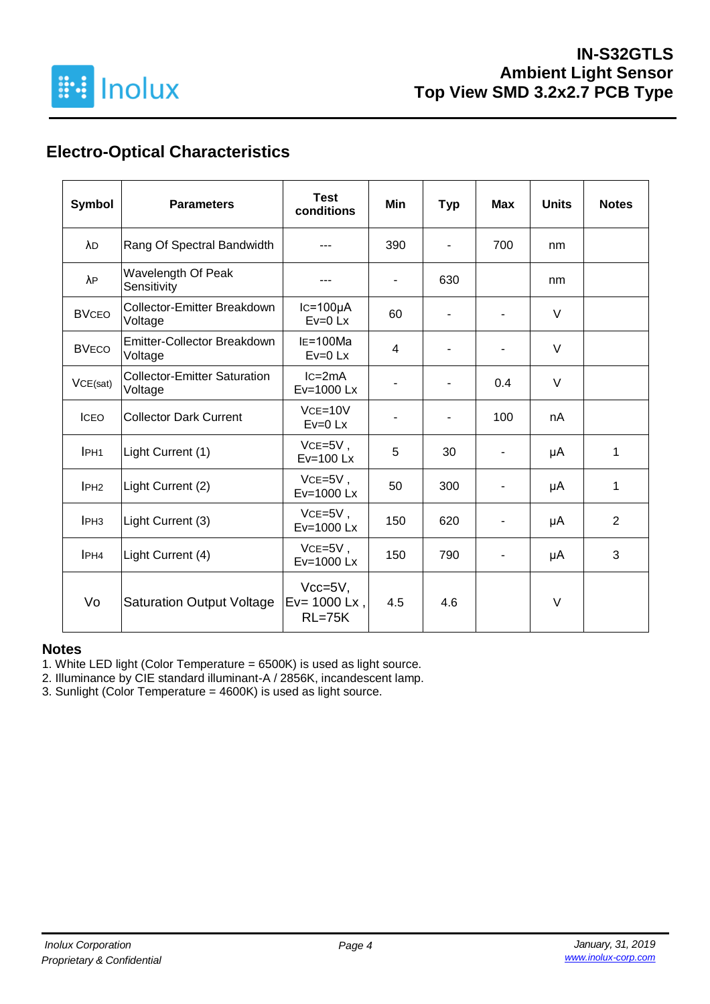

# **Electro-Optical Characteristics**

| Symbol           | <b>Parameters</b>                              | <b>Test</b><br>conditions                | Min                          | <b>Typ</b>               | <b>Max</b> | <b>Units</b> | <b>Notes</b>   |
|------------------|------------------------------------------------|------------------------------------------|------------------------------|--------------------------|------------|--------------|----------------|
| λD               | Rang Of Spectral Bandwidth                     |                                          | 390                          | $\blacksquare$           | 700        | nm           |                |
| λP               | Wavelength Of Peak<br>Sensitivity              |                                          | $\overline{\phantom{a}}$     | 630                      |            | nm           |                |
| <b>BVCEO</b>     | Collector-Emitter Breakdown<br>Voltage         | $lc=100\mu A$<br>$Ev=0$ Lx               | 60                           |                          |            | $\vee$       |                |
| <b>BVECO</b>     | Emitter-Collector Breakdown<br>Voltage         | $IE=100Ma$<br>$Ev=0$ Lx                  | 4                            |                          |            | $\vee$       |                |
| VCE(sat)         | <b>Collector-Emitter Saturation</b><br>Voltage | $lc = 2mA$<br>Ev=1000 Lx                 | $\qquad \qquad \blacksquare$ | $\blacksquare$           | 0.4        | $\vee$       |                |
| <b>ICEO</b>      | <b>Collector Dark Current</b>                  | $VCE=10V$<br>$Ev=0$ Lx                   | -                            | $\overline{\phantom{a}}$ | 100        | nA           |                |
| IPH <sub>1</sub> | Light Current (1)                              | $VCE=5V$ ,<br>$Ev=100$ Lx                | 5                            | 30                       |            | μA           | 1              |
| IPH2             | Light Current (2)                              | $VCE=5V$ ,<br>Ev=1000 Lx                 | 50                           | 300                      |            | μA           | 1              |
| IPH <sub>3</sub> | Light Current (3)                              | $VCE=5V$ ,<br>Ev=1000 Lx                 | 150                          | 620                      |            | μA           | $\overline{2}$ |
| IPH <sub>4</sub> | Light Current (4)                              | $VCE=5V$ ,<br>Ev=1000 Lx                 | 150                          | 790                      |            | μA           | 3              |
| Vo               | <b>Saturation Output Voltage</b>               | $Vcc=5V,$<br>$Ev = 1000$ Lx,<br>$RL=75K$ | 4.5                          | 4.6                      |            | $\vee$       |                |

#### **Notes**

1. White LED light (Color Temperature = 6500K) is used as light source.

2. Illuminance by CIE standard illuminant-A / 2856K, incandescent lamp.

3. Sunlight (Color Temperature = 4600K) is used as light source.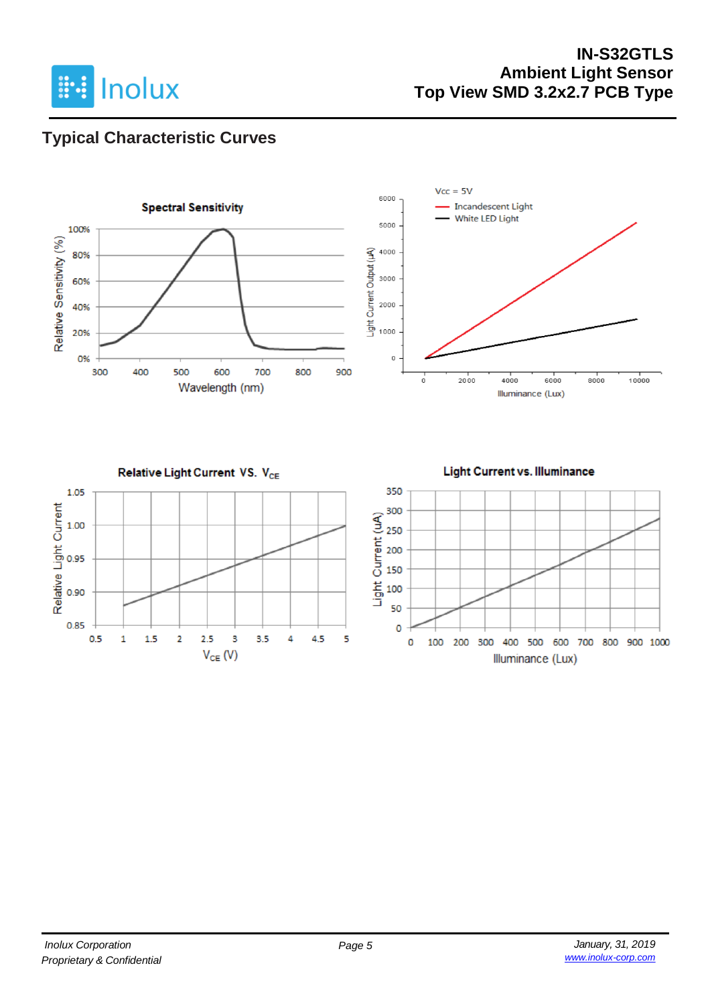

### **IN-S32GTLS Ambient Light Sensor Top View SMD 3.2x2.7 PCB Type**

## **Typical Characteristic Curves**

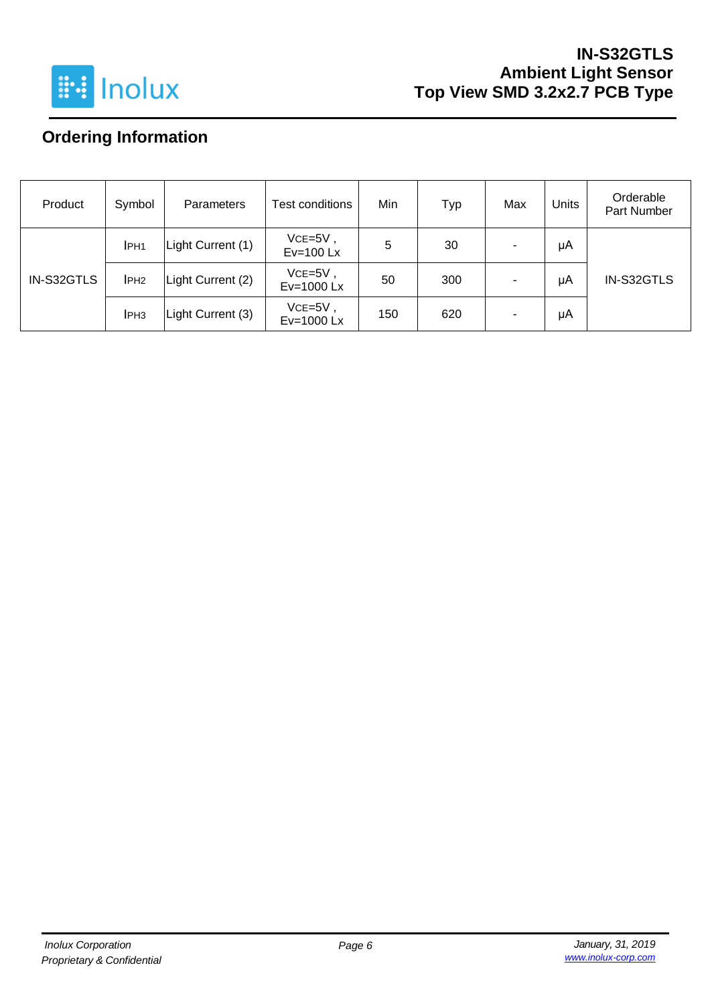

### **IN-S32GTLS Ambient Light Sensor Top View SMD 3.2x2.7 PCB Type**

# **Ordering Information**

| Product    | Symbol           | <b>Parameters</b> | Test conditions           | Min | Тур | Max | Units | Orderable<br>Part Number |
|------------|------------------|-------------------|---------------------------|-----|-----|-----|-------|--------------------------|
| IN-S32GTLS | IPH <sub>1</sub> | Light Current (1) | $VCE=5V$ ,<br>$Ev=100$ Lx | 5   | 30  | -   | μA    |                          |
|            | IPH <sub>2</sub> | Light Current (2) | $VCE=5V$ ,<br>Ev=1000 Lx  | 50  | 300 | -   | μA    | IN-S32GTLS               |
|            | IPH <sub>3</sub> | Light Current (3) | $VCE=5V$ ,<br>Ev=1000 Lx  | 150 | 620 | ۰   | μA    |                          |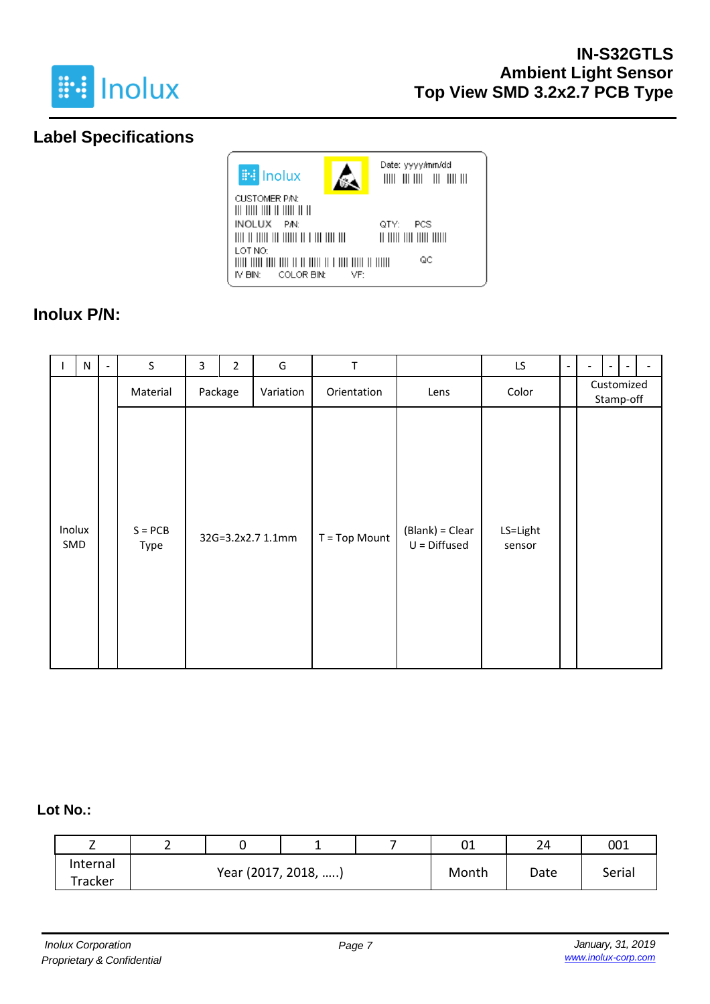

## **Label Specifications**



### **Inolux P/N:**

| ı   | N      | $\qquad \qquad \blacksquare$ | $\sf S$           | 3 | $\overline{2}$ | G                 | T             |                                   | LS.                | $\overline{\phantom{a}}$ | ۰ | $\overline{\phantom{a}}$ |  |
|-----|--------|------------------------------|-------------------|---|----------------|-------------------|---------------|-----------------------------------|--------------------|--------------------------|---|--------------------------|--|
|     |        |                              | Material          |   | Package        | Variation         | Orientation   | Lens                              | Color              |                          |   | Customized<br>Stamp-off  |  |
| SMD | Inolux |                              | $S = PCB$<br>Type |   |                | 32G=3.2x2.7 1.1mm | T = Top Mount | (Blank) = Clear<br>$U = Diffused$ | LS=Light<br>sensor |                          |   |                          |  |

#### **Lot No.:**

| <u>_</u>      |                     |  |       | ◡⊥   | 24     | 001 |
|---------------|---------------------|--|-------|------|--------|-----|
| Internal      | Year (2017, 2018, ) |  | Month | Date | Serial |     |
| $\tau$ racker |                     |  |       |      |        |     |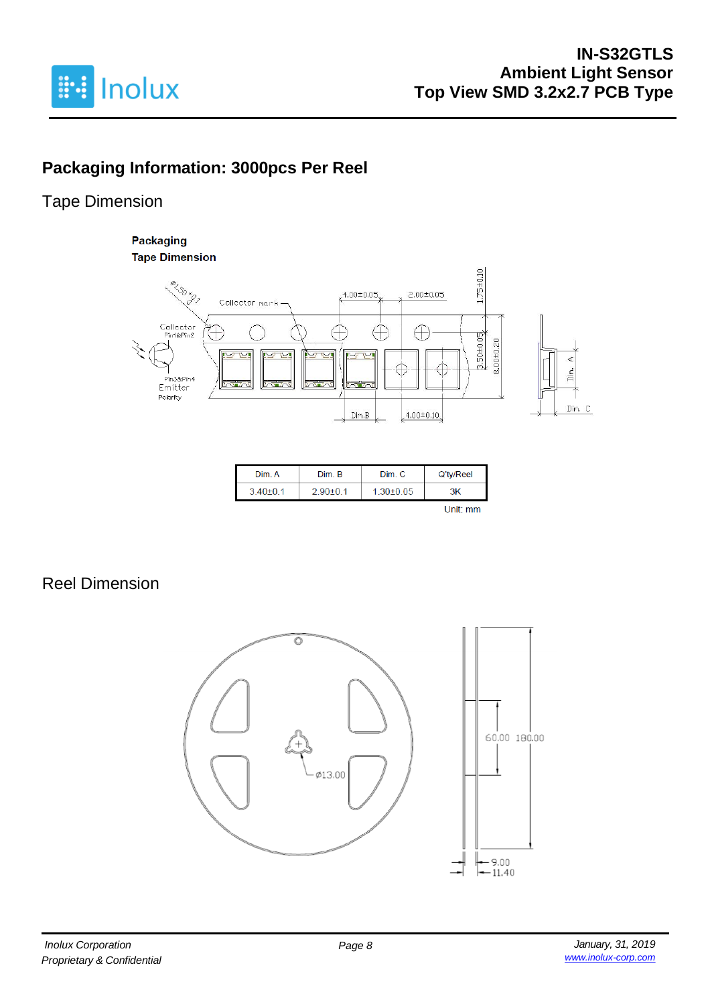

# **Packaging Information: 3000pcs Per Reel**

### Tape Dimension

#### **Packaging Tape Dimension**



| Dim. A         | Dim. B         | Dim. C          | Q'ty/Reel |
|----------------|----------------|-----------------|-----------|
| $3.40 \pm 0.1$ | $2.90 \pm 0.1$ | $1.30 \pm 0.05$ | ЗK        |
|                |                |                 |           |

# Reel Dimension

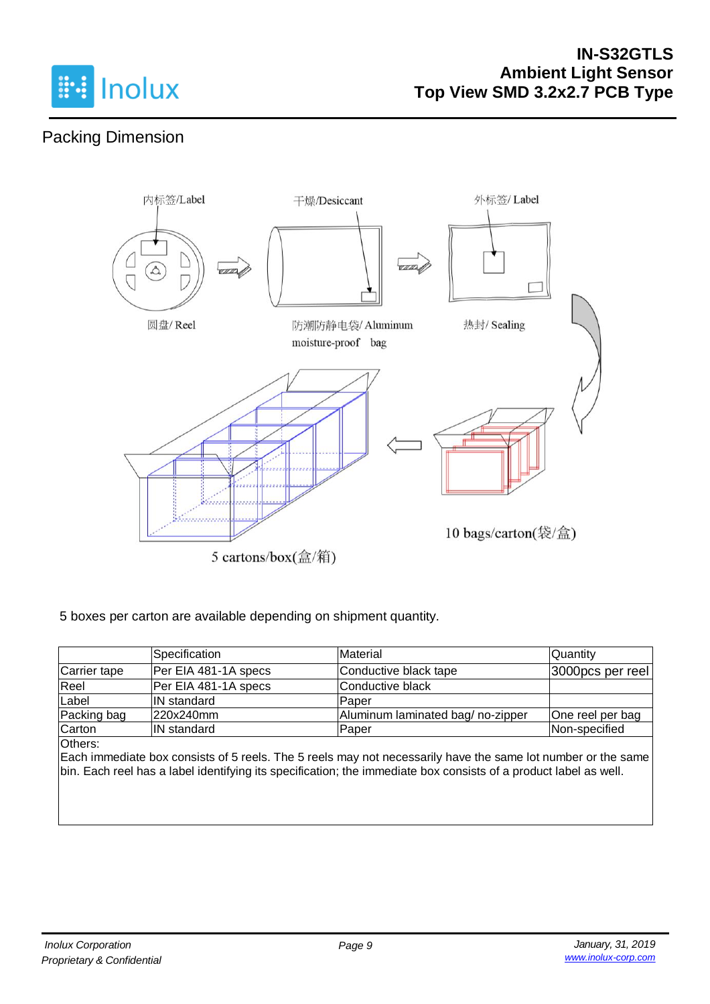

# Packing Dimension



5 cartons/box(盒/箱)

#### 5 boxes per carton are available depending on shipment quantity.

|              | Specification        | Material                         | Quantity         |
|--------------|----------------------|----------------------------------|------------------|
| Carrier tape | Per EIA 481-1A specs | Conductive black tape            | 3000pcs per reel |
| Reel         | Per EIA 481-1A specs | Conductive black                 |                  |
| Label        | IN standard          | Paper                            |                  |
| Packing bag  | 220x240mm            | Aluminum laminated bag/no-zipper | One reel per bag |
| Carton       | <b>IN</b> standard   | lPaper                           | Non-specified    |
| Others:      |                      |                                  |                  |

Each immediate box consists of 5 reels. The 5 reels may not necessarily have the same lot number or the same bin. Each reel has a label identifying its specification; the immediate box consists of a product label as well.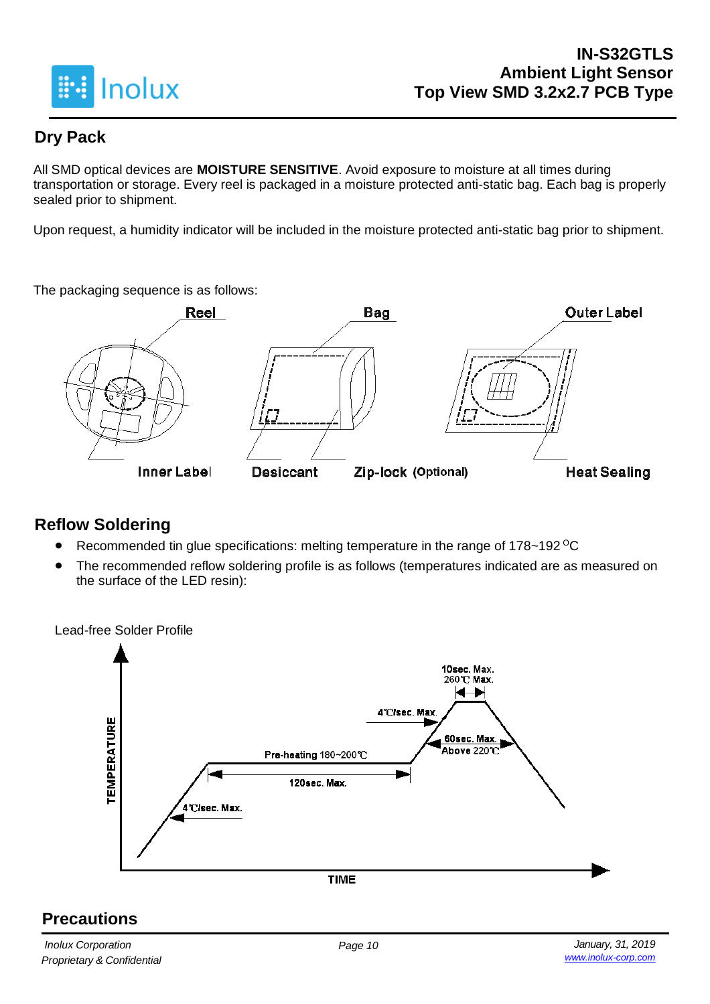

## **Dry Pack**

All SMD optical devices are **MOISTURE SENSITIVE**. Avoid exposure to moisture at all times during transportation or storage. Every reel is packaged in a moisture protected anti-static bag. Each bag is properly sealed prior to shipment.

Upon request, a humidity indicator will be included in the moisture protected anti-static bag prior to shipment.

The packaging sequence is as follows:



### **Reflow Soldering**

- Recommended tin glue specifications: melting temperature in the range of 178~192 <sup>o</sup>C
- The recommended reflow soldering profile is as follows (temperatures indicated are as measured on the surface of the LED resin):

Lead-free Solder Profile 10sec. Max. 260℃ Max. ← 4°C/sec. Max **TEMPERATURE** 60sec. Max. Above 220℃ Pre-heating 180~200℃ 120sec. Max. 4°C/sec. Max. **TIME** 

### **Precautions**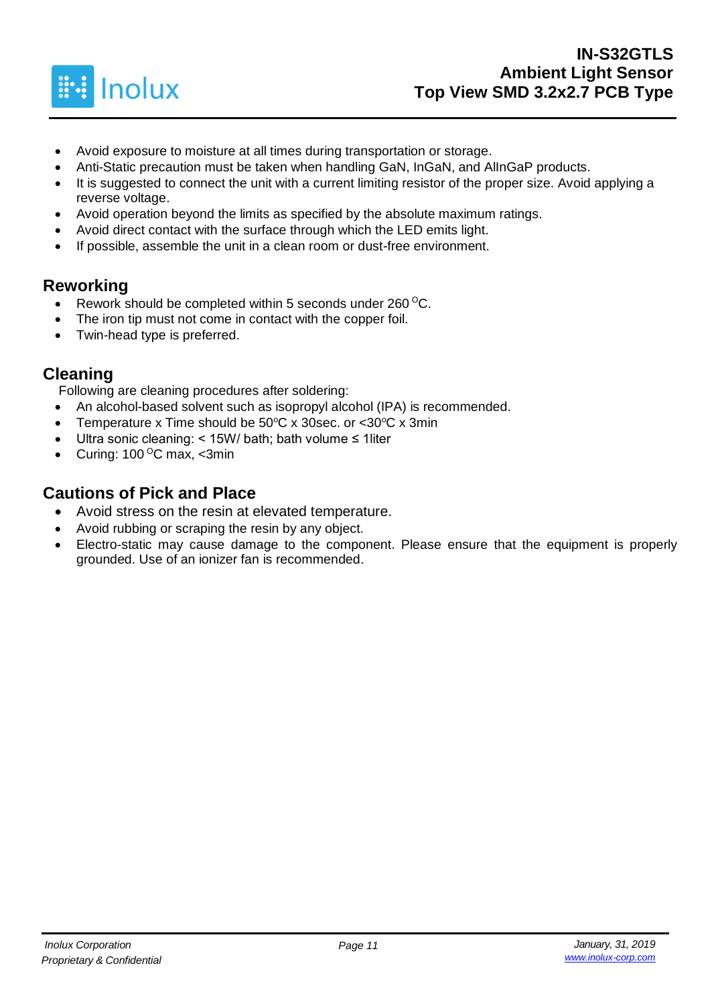

- Avoid exposure to moisture at all times during transportation or storage.
- Anti-Static precaution must be taken when handling GaN, InGaN, and AlInGaP products.
- It is suggested to connect the unit with a current limiting resistor of the proper size. Avoid applying a reverse voltage.
- Avoid operation beyond the limits as specified by the absolute maximum ratings.
- Avoid direct contact with the surface through which the LED emits light.
- If possible, assemble the unit in a clean room or dust-free environment.

### **Reworking**

- Rework should be completed within 5 seconds under  $260^{\circ}$ C.
- The iron tip must not come in contact with the copper foil.
- Twin-head type is preferred.

#### **Cleaning**

Following are cleaning procedures after soldering:

- An alcohol-based solvent such as isopropyl alcohol (IPA) is recommended.
- Temperature x Time should be  $50^{\circ}$ C x 30sec. or <30 $^{\circ}$ C x 3min
- Ultra sonic cleaning: < 15W/ bath; bath volume ≤ 1liter
- Curing:  $100^{\circ}$ C max, <3min

#### **Cautions of Pick and Place**

- Avoid stress on the resin at elevated temperature.
- Avoid rubbing or scraping the resin by any object.
- Electro-static may cause damage to the component. Please ensure that the equipment is properly grounded. Use of an ionizer fan is recommended.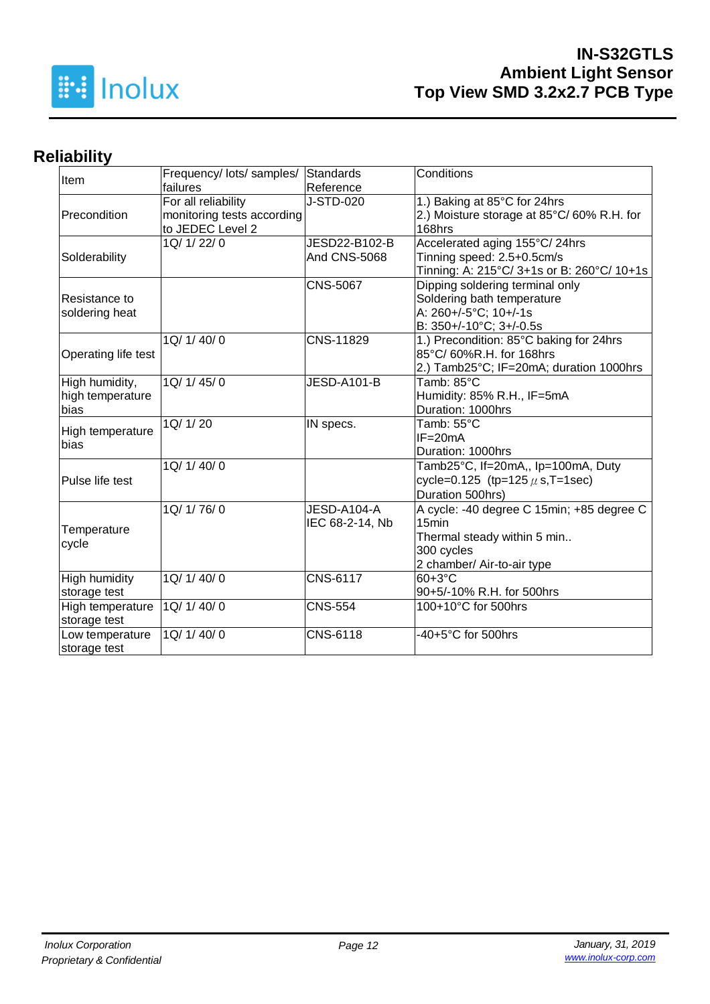

# **Reliability**

| Item                     | Frequency/ lots/ samples/  | <b>Standards</b>   | Conditions                                 |
|--------------------------|----------------------------|--------------------|--------------------------------------------|
|                          | failures                   | Reference          |                                            |
|                          | For all reliability        | J-STD-020          | 1.) Baking at 85°C for 24hrs               |
| Precondition             | monitoring tests according |                    | 2.) Moisture storage at 85°C/60% R.H. for  |
|                          | to JEDEC Level 2           |                    | 168hrs                                     |
|                          | 1Q/ 1/ 22/ 0               | JESD22-B102-B      | Accelerated aging 155°C/24hrs              |
| Solderability            |                            | And CNS-5068       | Tinning speed: 2.5+0.5cm/s                 |
|                          |                            |                    | Tinning: A: 215°C/ 3+1s or B: 260°C/ 10+1s |
|                          |                            | <b>CNS-5067</b>    | Dipping soldering terminal only            |
| Resistance to            |                            |                    | Soldering bath temperature                 |
| soldering heat           |                            |                    | A: 260+/-5°C; 10+/-1s                      |
|                          |                            |                    | B: 350+/-10°C; 3+/-0.5s                    |
|                          | 1Q/ 1/ 40/ 0               | CNS-11829          | 1.) Precondition: 85°C baking for 24hrs    |
| Operating life test      |                            |                    | 85°C/60%R.H. for 168hrs                    |
|                          |                            |                    | 2.) Tamb25°C; IF=20mA; duration 1000hrs    |
| High humidity,           | 1Q/1/45/0                  | <b>JESD-A101-B</b> | Tamb: 85°C                                 |
| high temperature         |                            |                    | Humidity: 85% R.H., IF=5mA                 |
| bias                     |                            |                    | Duration: 1000hrs                          |
|                          | 1Q/ 1/ 20                  | IN specs.          | Tamb: 55°C                                 |
| High temperature<br>bias |                            |                    | $IF = 20mA$                                |
|                          |                            |                    | Duration: 1000hrs                          |
|                          | 1Q/ 1/ 40/ 0               |                    | Tamb25°C, If=20mA,, Ip=100mA, Duty         |
| Pulse life test          |                            |                    | cycle=0.125 (tp=125 $\mu$ s, T=1sec)       |
|                          |                            |                    | Duration 500hrs)                           |
|                          | 1Q/ 1/ 76/ 0               | JESD-A104-A        | A cycle: -40 degree C 15min; +85 degree C  |
|                          |                            | IEC 68-2-14, Nb    | 15 <sub>min</sub>                          |
| Temperature              |                            |                    | Thermal steady within 5 min                |
| cycle                    |                            |                    | 300 cycles                                 |
|                          |                            |                    | 2 chamber/ Air-to-air type                 |
| High humidity            | 1Q/ 1/ 40/ 0               | <b>CNS-6117</b>    | 60+3°C                                     |
| storage test             |                            |                    | 90+5/-10% R.H. for 500hrs                  |
| High temperature         | 1Q/ 1/ 40/ 0               | <b>CNS-554</b>     | 100+10°C for 500hrs                        |
| storage test             |                            |                    |                                            |
| Low temperature          | 1Q/ 1/ 40/ 0               | CNS-6118           | -40+5°C for 500hrs                         |
| storage test             |                            |                    |                                            |